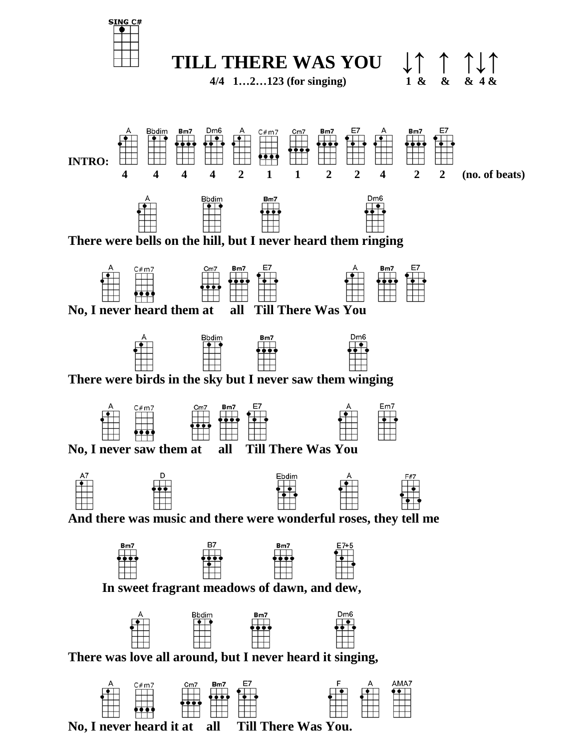



 **4/4 1…2…123 (for singing) 1 & & & 4 &**







 **No, I never heard it at all Till There Was You.**